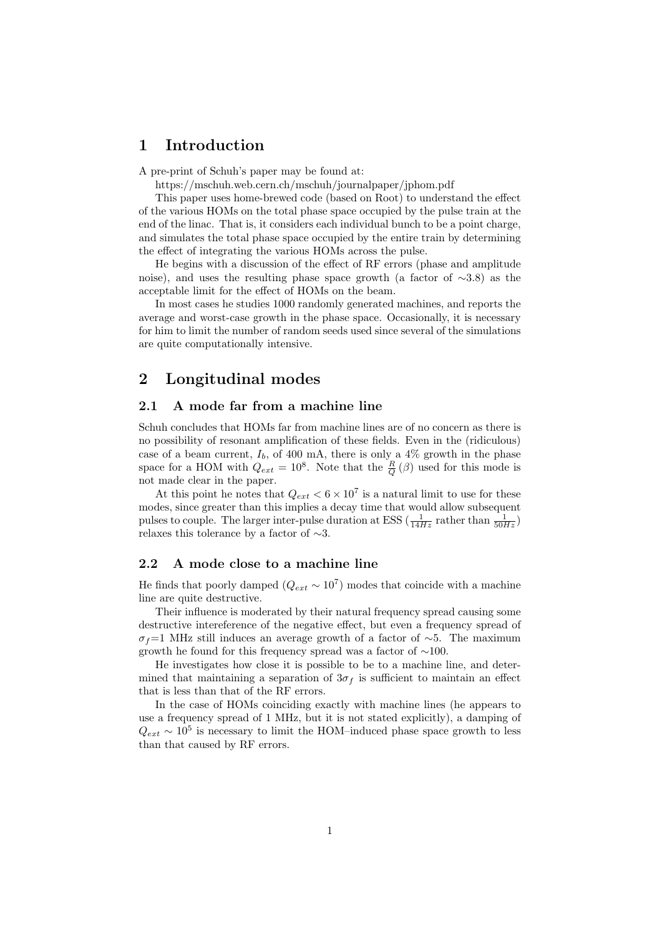# 1 Introduction

A pre-print of Schuh's paper may be found at:

https://mschuh.web.cern.ch/mschuh/journalpaper/jphom.pdf

This paper uses home-brewed code (based on Root) to understand the effect of the various HOMs on the total phase space occupied by the pulse train at the end of the linac. That is, it considers each individual bunch to be a point charge, and simulates the total phase space occupied by the entire train by determining the effect of integrating the various HOMs across the pulse.

He begins with a discussion of the effect of RF errors (phase and amplitude noise), and uses the resulting phase space growth (a factor of ∼3.8) as the acceptable limit for the effect of HOMs on the beam.

In most cases he studies 1000 randomly generated machines, and reports the average and worst-case growth in the phase space. Occasionally, it is necessary for him to limit the number of random seeds used since several of the simulations are quite computationally intensive.

# 2 Longitudinal modes

### 2.1 A mode far from a machine line

Schuh concludes that HOMs far from machine lines are of no concern as there is no possibility of resonant amplification of these fields. Even in the (ridiculous) case of a beam current,  $I<sub>b</sub>$ , of 400 mA, there is only a 4% growth in the phase space for a HOM with  $Q_{ext} = 10^8$ . Note that the  $\frac{R}{Q}(\beta)$  used for this mode is not made clear in the paper.

At this point he notes that  $Q_{ext} < 6 \times 10^7$  is a natural limit to use for these modes, since greater than this implies a decay time that would allow subsequent pulses to couple. The larger inter-pulse duration at ESS ( $\frac{1}{14Hz}$  rather than  $\frac{1}{50Hz}$ ) relaxes this tolerance by a factor of ∼3.

### 2.2 A mode close to a machine line

He finds that poorly damped  $(Q_{ext} \sim 10^7)$  modes that coincide with a machine line are quite destructive.

Their influence is moderated by their natural frequency spread causing some destructive intereference of the negative effect, but even a frequency spread of  $\sigma_f=1$  MHz still induces an average growth of a factor of ∼5. The maximum growth he found for this frequency spread was a factor of ∼100.

He investigates how close it is possible to be to a machine line, and determined that maintaining a separation of  $3\sigma_f$  is sufficient to maintain an effect that is less than that of the RF errors.

In the case of HOMs coinciding exactly with machine lines (he appears to use a frequency spread of 1 MHz, but it is not stated explicitly), a damping of  $Q_{ext} \sim 10^5$  is necessary to limit the HOM–induced phase space growth to less than that caused by RF errors.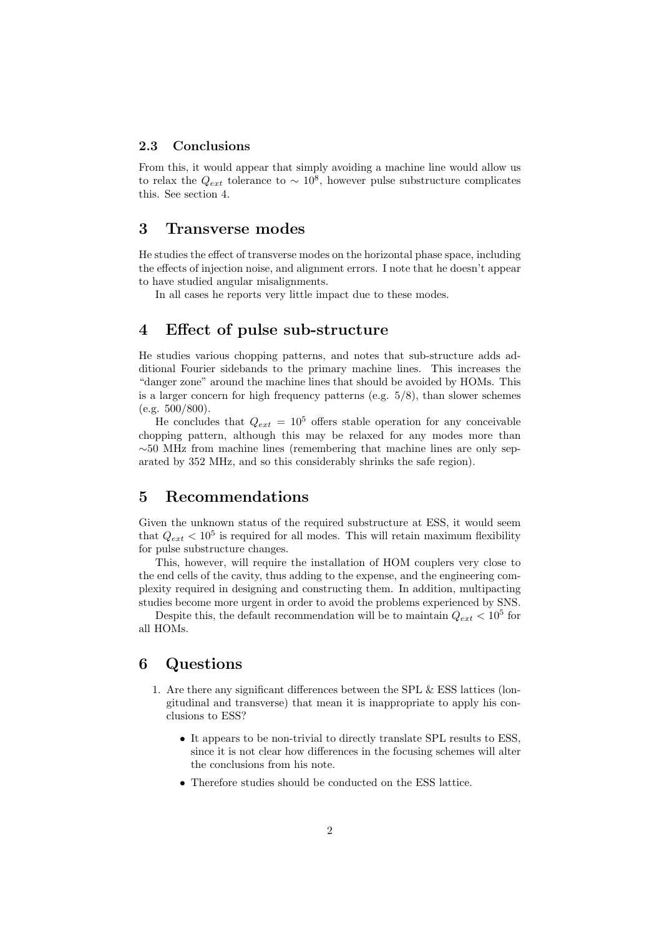#### 2.3 Conclusions

From this, it would appear that simply avoiding a machine line would allow us to relax the  $Q_{ext}$  tolerance to  $\sim 10^8$ , however pulse substructure complicates this. See section 4.

# 3 Transverse modes

He studies the effect of transverse modes on the horizontal phase space, including the effects of injection noise, and alignment errors. I note that he doesn't appear to have studied angular misalignments.

In all cases he reports very little impact due to these modes.

## 4 Effect of pulse sub-structure

He studies various chopping patterns, and notes that sub-structure adds additional Fourier sidebands to the primary machine lines. This increases the "danger zone" around the machine lines that should be avoided by HOMs. This is a larger concern for high frequency patterns (e.g. 5/8), than slower schemes  $(e.g. 500/800)$ .

He concludes that  $Q_{ext} = 10^5$  offers stable operation for any conceivable chopping pattern, although this may be relaxed for any modes more than  $\sim$ 50 MHz from machine lines (remembering that machine lines are only separated by 352 MHz, and so this considerably shrinks the safe region).

# 5 Recommendations

Given the unknown status of the required substructure at ESS, it would seem that  $Q_{ext} < 10^5$  is required for all modes. This will retain maximum flexibility for pulse substructure changes.

This, however, will require the installation of HOM couplers very close to the end cells of the cavity, thus adding to the expense, and the engineering complexity required in designing and constructing them. In addition, multipacting studies become more urgent in order to avoid the problems experienced by SNS.

Despite this, the default recommendation will be to maintain  $Q_{ext} < 10^5$  for all HOMs.

## 6 Questions

- 1. Are there any significant differences between the SPL & ESS lattices (longitudinal and transverse) that mean it is inappropriate to apply his conclusions to ESS?
	- It appears to be non-trivial to directly translate SPL results to ESS, since it is not clear how differences in the focusing schemes will alter the conclusions from his note.
	- Therefore studies should be conducted on the ESS lattice.